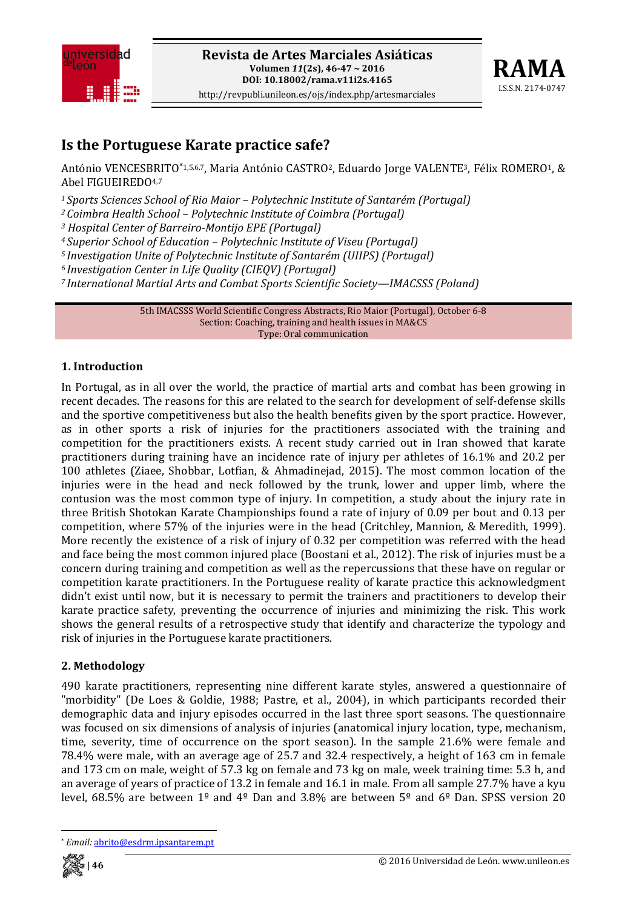



# **Is the Portuguese Karate practice safe?**

António VENCESBRITO\*1,5,6,7, Maria António CASTRO<sup>2</sup>, Eduardo Jorge VALENTE<sup>3</sup>, Félix ROMERO<sup>1</sup>, & Abel FIGUEIREDO4,7

*<sup>1</sup> Sports Sciences School of Rio Maior – Polytechnic Institute of Santarém (Portugal)*

*<sup>2</sup> Coimbra Health School – Polytechnic Institute of Coimbra (Portugal)*

*<sup>3</sup> Hospital Center of BarreiroMontijo EPE (Portugal)*

*<sup>4</sup> Superior School of Education – Polytechnic Institute of Viseu (Portugal)*

*<sup>5</sup> Investigation Unite of Polytechnic Institute of Santarém (UIIPS) (Portugal)*

*<sup>6</sup> Investigation Center in Life Quality (CIEQV) (Portugal)*

*<sup>7</sup> International Martial Arts and Combat Sports Scientific Society—IMACSSS (Poland)*

5th IMACSSS World Scientific Congress Abstracts, Rio Maior (Portugal), October 6‐8 Section: Coaching, training and health issues in MA&CS Type: Oral communication

#### **1. Introduction**

In Portugal, as in all over the world, the practice of martial arts and combat has been growing in recent decades. The reasons for this are related to the search for development of self‐defense skills and the sportive competitiveness but also the health benefits given by the sport practice. However, as in other sports a risk of injuries for the practitioners associated with the training and competition for the practitioners exists. A recent study carried out in Iran showed that karate practitioners during training have an incidence rate of injury per athletes of 16.1% and 20.2 per 100 athletes (Ziaee, Shobbar, Lotfian, & Ahmadinejad, 2015). The most common location of the injuries were in the head and neck followed by the trunk, lower and upper limb, where the contusion was the most common type of injury. In competition, a study about the injury rate in three British Shotokan Karate Championships found a rate of injury of 0.09 per bout and 0.13 per competition, where 57% of the injuries were in the head (Critchley, Mannion, & Meredith, 1999). More recently the existence of a risk of injury of 0.32 per competition was referred with the head and face being the most common injured place (Boostani et al., 2012). The risk of injuries must be a concern during training and competition as well as the repercussions that these have on regular or competition karate practitioners. In the Portuguese reality of karate practice this acknowledgment didn't exist until now, but it is necessary to permit the trainers and practitioners to develop their karate practice safety, preventing the occurrence of injuries and minimizing the risk. This work shows the general results of a retrospective study that identify and characterize the typology and risk of injuries in the Portuguese karate practitioners.

### **2. Methodology**

490 karate practitioners, representing nine different karate styles, answered a questionnaire of "morbidity" (De Loes & Goldie, 1988; Pastre, et al., 2004), in which participants recorded their demographic data and injury episodes occurred in the last three sport seasons. The questionnaire was focused on six dimensions of analysis of injuries (anatomical injury location, type, mechanism, time, severity, time of occurrence on the sport season). In the sample 21.6% were female and 78.4% were male, with an average age of 25.7 and 32.4 respectively, a height of 163 cm in female and 173 cm on male, weight of 57.3 kg on female and 73 kg on male, week training time: 5.3 h, and an average of years of practice of 13.2 in female and 16.1 in male. From all sample 27.7% have a kyu level, 68.5% are between 1º and 4º Dan and 3.8% are between 5º and 6º Dan. SPSS version 20

 \* *Email:* abrito@esdrm.ipsantarem.pt